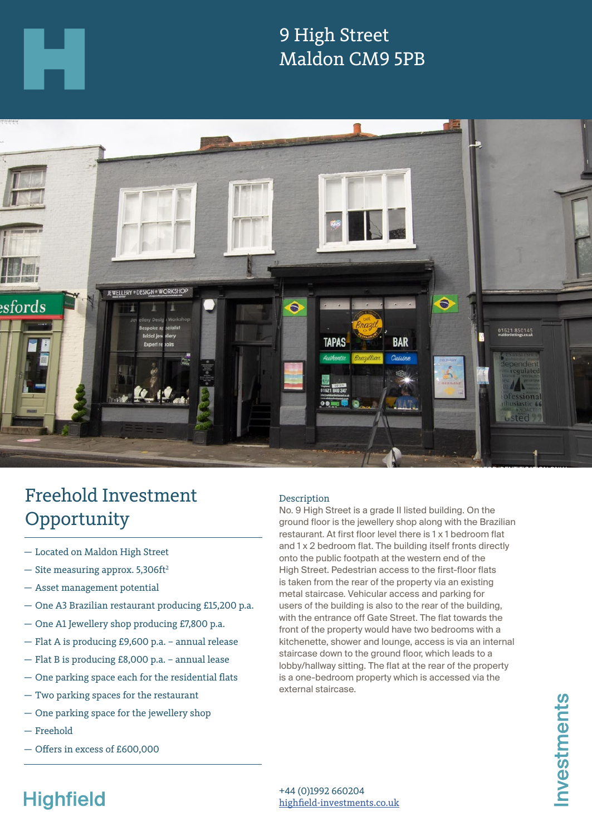

### 9 High Street Maldon CM9 5PB



## Freehold Investment **Opportunity**

- Located on Maldon High Street
- $-$  Site measuring approx. 5,306ft<sup>2</sup>
- Asset management potential
- One A3 Brazilian restaurant producing £15,200 p.a.
- One A1 Jewellery shop producing £7,800 p.a.
- Flat A is producing £9,600 p.a. annual release
- Flat B is producing £8,000 p.a. annual lease
- One parking space each for the residential flats
- Two parking spaces for the restaurant
- One parking space for the jewellery shop
- Freehold
- Offers in excess of £600,000

### Description

No. 9 High Street is a grade II listed building. On the ground floor is the jewellery shop along with the Brazilian restaurant. At first floor level there is 1 x 1 bedroom flat and 1 x 2 bedroom flat. The building itself fronts directly onto the public footpath at the western end of the High Street. Pedestrian access to the first-floor flats is taken from the rear of the property via an existing metal staircase. Vehicular access and parking for users of the building is also to the rear of the building, with the entrance off Gate Street. The flat towards the front of the property would have two bedrooms with a kitchenette, shower and lounge, access is via an internal staircase down to the ground floor, which leads to a lobby/hallway sitting. The flat at the rear of the property is a one-bedroom property which is accessed via the external staircase.

# **Highfield**

+44 (0)1992 660204 highfield-investments.co.uk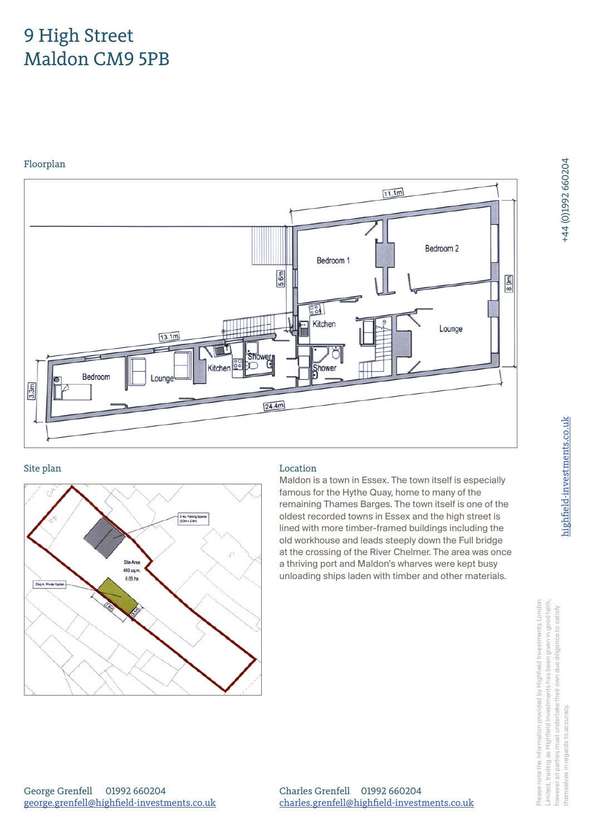## 9 High Street Maldon CM9 5PB

Floorplan





### Site plan Location

Maldon is a town in Essex. The town itself is especially famous for the Hythe Quay, home to many of the remaining Thames Barges. The town itself is one of the oldest recorded towns in Essex and the high street is lined with more timber-framed buildings including the old workhouse and leads steeply down the Full bridge at the crossing of the River Chelmer. The area was once a thriving port and Maldon's wharves were kept busy unloading ships laden with timber and other materials.

+44 (0)1992 660204

Charles Grenfell 01992 660204 charles.grenfell@highfield-investments.co.uk